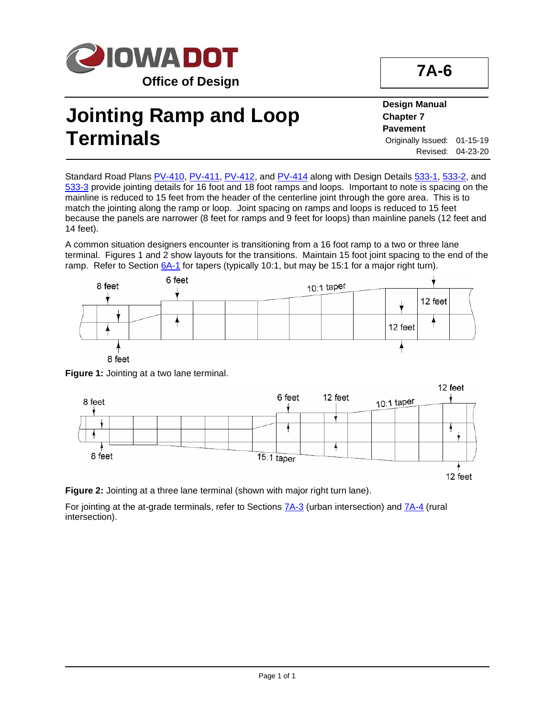

## **Jointing Ramp and Loop Terminals**

**Design Manual Chapter 7 Pavement** Originally Issued: 01-15-19 Revised: 04-23-20

Standard Road Plans [PV-410,](../SRP/IndividualStandards/pv410.pdf) [PV-411,](../SRP/IndividualStandards/pv411.pdf) [PV-412,](../SRP/IndividualStandards/pv412.pdf) and [PV-414](../SRP/IndividualStandards/pv414.pdf) along with Design Details [533-1,](../tnt/PDFsandWebFiles/IndividualPDFs/0533-01.pdf) [533-2,](../tnt/PDFsandWebFiles/IndividualPDFs/0533-02.pdf) and [533-3](../tnt/PDFsandWebFiles/IndividualPDFs/0533-03.pdf) provide jointing details for 16 foot and 18 foot ramps and loops. Important to note is spacing on the mainline is reduced to 15 feet from the header of the centerline joint through the gore area. This is to match the jointing along the ramp or loop. Joint spacing on ramps and loops is reduced to 15 feet because the panels are narrower (8 feet for ramps and 9 feet for loops) than mainline panels (12 feet and 14 feet).

A common situation designers encounter is transitioning from a 16 foot ramp to a two or three lane terminal. Figures 1 and 2 show layouts for the transitions. Maintain 15 foot joint spacing to the end of the ramp. Refer to Section [6A-1](06a-01.pdf) for tapers (typically 10:1, but may be 15:1 for a major right turn).



**Figure 1:** Jointing at a two lane terminal.



**Figure 2:** Jointing at a three lane terminal (shown with major right turn lane).

For jointing at the at-grade terminals, refer to Sections **7A-3** (urban intersection) and **7A-4** (rural intersection).